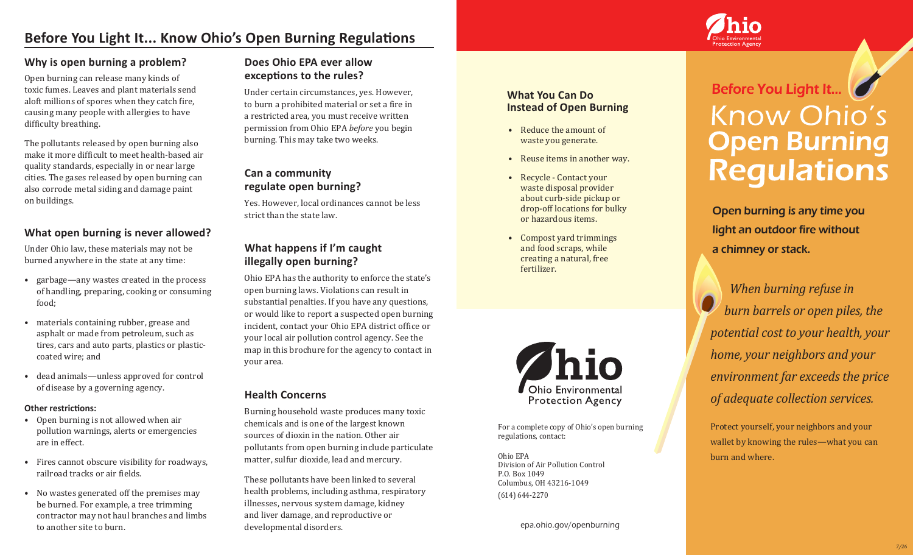## **Before You Light It... Know Ohio's Open Burning Regulations**

#### **Why is open burning a problem?**

Open burning can release many kinds of toxic fumes. Leaves and plant materials send aloft millions of spores when they catch fire, causing many people with allergies to have difficulty breathing.

The pollutants released by open burning also make it more difficult to meet health-based air quality standards, especially in or near large cities. The gases released by open burning can also corrode metal siding and damage paint on buildings.

#### **What open burning is never allowed?**

Under Ohio law, these materials may not be burned anywhere in the state at any time:

- garbage—any wastes created in the process of handling, preparing, cooking or consuming food;
- materials containing rubber, grease and asphalt or made from petroleum, such as tires, cars and auto parts, plastics or plasticcoated wire; and
- dead animals—unless approved for control of disease by a governing agency.

#### **Other restrictions:**

- Open burning is not allowed when air pollution warnings, alerts or emergencies are in effect.
- Fires cannot obscure visibility for roadways, railroad tracks or air fields.
- No wastes generated off the premises may be burned. For example, a tree trimming contractor may not haul branches and limbs to another site to burn.

## **Does Ohio EPA ever allow exceptions to the rules?**

Under certain circumstances, yes. However, to burn a prohibited material or set a fire in a restricted area, you must receive written permission from Ohio EPA *before* you begin burning. This may take two weeks.

## **Can a community regulate open burning?**

Yes. However, local ordinances cannot be less strict than the state law.

### **What happens if I'm caught illegally open burning?**

Ohio EPA has the authority to enforce the state's open burning laws. Violations can result in substantial penalties. If you have any questions, or would like to report a suspected open burning incident, contact your Ohio EPA district office or your local air pollution control agency. See the map in this brochure for the agency to contact in your area.

#### **Health Concerns**

Burning household waste produces many toxic chemicals and is one of the largest known sources of dioxin in the nation. Other air pollutants from open burning include particulate matter, sulfur dioxide, lead and mercury.

These pollutants have been linked to several health problems, including asthma, respiratory illnesses, nervous system damage, kidney and liver damage, and reproductive or developmental disorders.

#### **What You Can Do Instead of Open Burning**

- Reduce the amount of waste you generate.
- Reuse items in another way.
- Recycle Contact your waste disposal provider about curb-side pickup or drop-off locations for bulky or hazardous items.
- Compost yard trimmings and food scraps, while creating a natural, free fertilizer.



For a complete copy of Ohio's open burning regulations, contact:

Ohio EPA Division of Air Pollution Control P.O. Box 1049 Columbus, OH 43216-1049 (614) 644-2270

epa.ohio.gov/openburning

# Before You Light It... Know Ohio's **Open Burning<br>Regulations**

Open burning is any time you light an outdoor fire without a chimney or stack.

 *When burning refuse in burn barrels or open piles, the potential cost to your health, your home, your neighbors and your environment far exceeds the price of adequate collection services.*

Protect yourself, your neighbors and your wallet by knowing the rules—what you can burn and where.